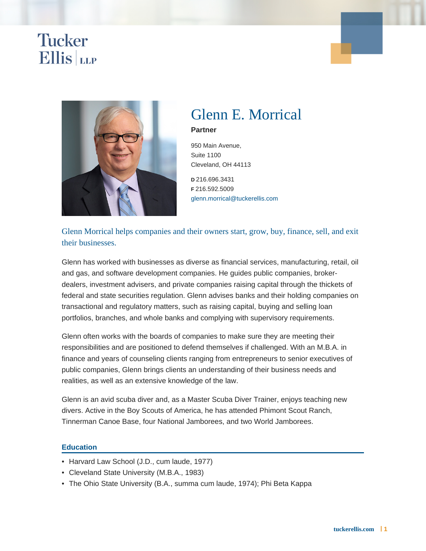# Glenn E. Morrical

Partner

950 Main Avenue, Suite 1100 Cleveland, OH 44113

D 216.696.3431 F 216.592.5009 [glenn.morrical@tuckerellis.com](mailto:glenn.morrical@tuckerellis.com)

Glenn Morrical helps companies and their owners start, grow, buy, finance, sell, and exit their businesses.

Glenn has worked with businesses as diverse as financial services, manufacturing, retail, oil and gas, and software development companies. He guides public companies, brokerdealers, investment advisers, and private companies raising capital through the thickets of federal and state securities regulation. Glenn advises banks and their holding companies on transactional and regulatory matters, such as raising capital, buying and selling loan portfolios, branches, and whole banks and complying with supervisory requirements.

Glenn often works with the boards of companies to make sure they are meeting their responsibilities and are positioned to defend themselves if challenged. With an M.B.A. in finance and years of counseling clients ranging from entrepreneurs to senior executives of public companies, Glenn brings clients an understanding of their business needs and realities, as well as an extensive knowledge of the law.

Glenn is an avid scuba diver and, as a Master Scuba Diver Trainer, enjoys teaching new divers. Active in the Boy Scouts of America, he has attended Phimont Scout Ranch, Tinnerman Canoe Base, four National Jamborees, and two World Jamborees.

### **Education**

- Harvard Law School (J.D., cum laude, 1977)
- Cleveland State University (M.B.A., 1983)
- The Ohio State University (B.A., summa cum laude, 1974); Phi Beta Kappa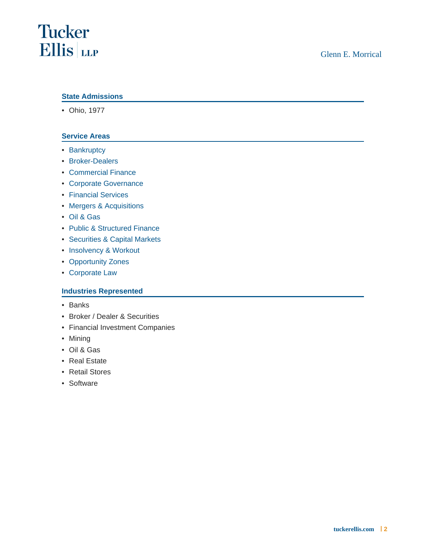### State Admissions

• Ohio, 1977

#### Service Areas

- [Bankruptcy](https://www.tuckerellis.com/services/bankruptcy/)
- [Broker-Dealers](https://www.tuckerellis.com/services/broker-dealers/)
- [Commercial Finance](https://www.tuckerellis.com/services/commercial-finance/)
- [Corporate Governance](https://www.tuckerellis.com/services/corporate-governance/)
- [Financial Services](https://www.tuckerellis.com/services/financial-services/)
- [Mergers & Acquisitions](https://www.tuckerellis.com/services/mergers-acquisitions/)
- [Oil & Gas](https://www.tuckerellis.com/services/oil-gas/)
- [Public & Structured Finance](https://www.tuckerellis.com/services/public-structured-finance/)
- [Securities & Capital Markets](https://www.tuckerellis.com/services/securities-capital-markets/)
- [Insolvency & Workout](https://www.tuckerellis.com/services/insolvency-workout/)
- [Opportunity Zones](https://www.tuckerellis.com/services/opportunity-zones/)
- [Corporate Law](https://www.tuckerellis.com/services/corporate-law/)

#### Industries Represented

- Banks
- Broker / Dealer & Securities
- Financial Investment Companies
- Mining
- Oil & Gas
- Real Estate
- Retail Stores
- Software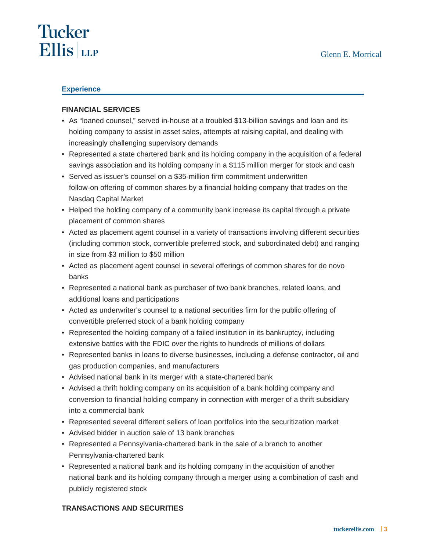# **Tucker Ellis** LLP

### **Experience**

### **FINANCIAL SERVICES**

- As "loaned counsel," served in-house at a troubled \$13-billion savings and loan and its holding company to assist in asset sales, attempts at raising capital, and dealing with increasingly challenging supervisory demands
- Represented a state chartered bank and its holding company in the acquisition of a federal savings association and its holding company in a \$115 million merger for stock and cash
- Served as issuer's counsel on a \$35-million firm commitment underwritten follow-on offering of common shares by a financial holding company that trades on the Nasdaq Capital Market
- Helped the holding company of a community bank increase its capital through a private placement of common shares
- Acted as placement agent counsel in a variety of transactions involving different securities (including common stock, convertible preferred stock, and subordinated debt) and ranging in size from \$3 million to \$50 million
- Acted as placement agent counsel in several offerings of common shares for de novo banks
- Represented a national bank as purchaser of two bank branches, related loans, and additional loans and participations
- Acted as underwriter's counsel to a national securities firm for the public offering of convertible preferred stock of a bank holding company
- Represented the holding company of a failed institution in its bankruptcy, including extensive battles with the FDIC over the rights to hundreds of millions of dollars
- Represented banks in loans to diverse businesses, including a defense contractor, oil and gas production companies, and manufacturers
- Advised national bank in its merger with a state-chartered bank
- Advised a thrift holding company on its acquisition of a bank holding company and conversion to financial holding company in connection with merger of a thrift subsidiary into a commercial bank
- Represented several different sellers of loan portfolios into the securitization market
- Advised bidder in auction sale of 13 bank branches
- Represented a Pennsylvania-chartered bank in the sale of a branch to another Pennsylvania-chartered bank
- Represented a national bank and its holding company in the acquisition of another national bank and its holding company through a merger using a combination of cash and publicly registered stock

### **TRANSACTIONS AND SECURITIES**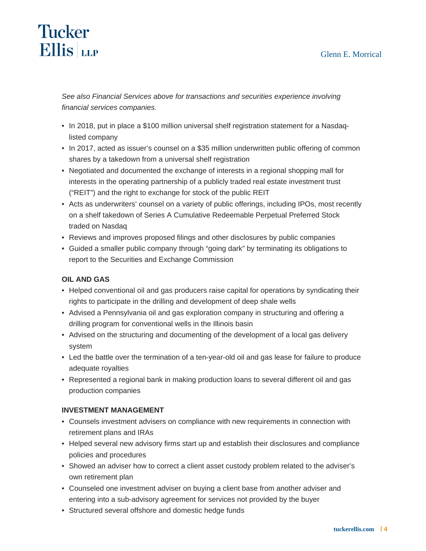### Glenn E. Morrical

# **Tucker Ellis** LLP

See also Financial Services above for transactions and securities experience involving financial services companies.

- In 2018, put in place a \$100 million universal shelf registration statement for a Nasdaqlisted company
- In 2017, acted as issuer's counsel on a \$35 million underwritten public offering of common shares by a takedown from a universal shelf registration
- Negotiated and documented the exchange of interests in a regional shopping mall for interests in the operating partnership of a publicly traded real estate investment trust ("REIT") and the right to exchange for stock of the public REIT
- Acts as underwriters' counsel on a variety of public offerings, including IPOs, most recently on a shelf takedown of Series A Cumulative Redeemable Perpetual Preferred Stock traded on Nasdaq
- Reviews and improves proposed filings and other disclosures by public companies
- Guided a smaller public company through "going dark" by terminating its obligations to report to the Securities and Exchange Commission

# **OIL AND GAS**

- Helped conventional oil and gas producers raise capital for operations by syndicating their rights to participate in the drilling and development of deep shale wells
- Advised a Pennsylvania oil and gas exploration company in structuring and offering a drilling program for conventional wells in the Illinois basin
- Advised on the structuring and documenting of the development of a local gas delivery system
- Led the battle over the termination of a ten-year-old oil and gas lease for failure to produce adequate royalties
- Represented a regional bank in making production loans to several different oil and gas production companies

### **INVESTMENT MANAGEMENT**

- Counsels investment advisers on compliance with new requirements in connection with retirement plans and IRAs
- Helped several new advisory firms start up and establish their disclosures and compliance policies and procedures
- Showed an adviser how to correct a client asset custody problem related to the adviser's own retirement plan
- Counseled one investment adviser on buying a client base from another adviser and entering into a sub-advisory agreement for services not provided by the buyer
- Structured several offshore and domestic hedge funds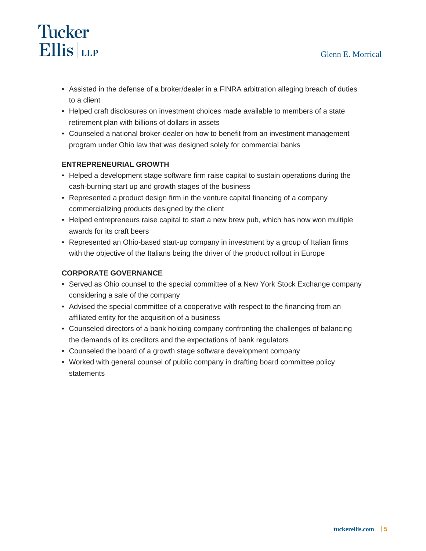# **Tucker Ellis** LLP

- Assisted in the defense of a broker/dealer in a FINRA arbitration alleging breach of duties to a client
- Helped craft disclosures on investment choices made available to members of a state retirement plan with billions of dollars in assets
- Counseled a national broker-dealer on how to benefit from an investment management program under Ohio law that was designed solely for commercial banks

# **ENTREPRENEURIAL GROWTH**

- Helped a development stage software firm raise capital to sustain operations during the cash-burning start up and growth stages of the business
- Represented a product design firm in the venture capital financing of a company commercializing products designed by the client
- Helped entrepreneurs raise capital to start a new brew pub, which has now won multiple awards for its craft beers
- Represented an Ohio-based start-up company in investment by a group of Italian firms with the objective of the Italians being the driver of the product rollout in Europe

# **CORPORATE GOVERNANCE**

- Served as Ohio counsel to the special committee of a New York Stock Exchange company considering a sale of the company
- Advised the special committee of a cooperative with respect to the financing from an affiliated entity for the acquisition of a business
- Counseled directors of a bank holding company confronting the challenges of balancing the demands of its creditors and the expectations of bank regulators
- Counseled the board of a growth stage software development company
- Worked with general counsel of public company in drafting board committee policy **statements**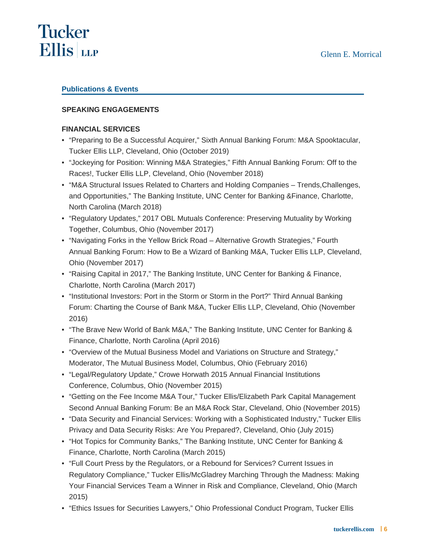# **Tucker Ellis** LLP

# **Publications & Events**

# **SPEAKING ENGAGEMENTS**

### **FINANCIAL SERVICES**

- "Preparing to Be a Successful Acquirer," Sixth Annual Banking Forum: M&A Spooktacular, Tucker Ellis LLP, Cleveland, Ohio (October 2019)
- "Jockeying for Position: Winning M&A Strategies," Fifth Annual Banking Forum: Off to the Races!, Tucker Ellis LLP, Cleveland, Ohio (November 2018)
- "M&A Structural Issues Related to Charters and Holding Companies Trends,Challenges, and Opportunities," The Banking Institute, UNC Center for Banking &Finance, Charlotte, North Carolina (March 2018)
- "Regulatory Updates," 2017 OBL Mutuals Conference: Preserving Mutuality by Working Together, Columbus, Ohio (November 2017)
- "Navigating Forks in the Yellow Brick Road Alternative Growth Strategies," Fourth Annual Banking Forum: How to Be a Wizard of Banking M&A, Tucker Ellis LLP, Cleveland, Ohio (November 2017)
- "Raising Capital in 2017," The Banking Institute, UNC Center for Banking & Finance, Charlotte, North Carolina (March 2017)
- "Institutional Investors: Port in the Storm or Storm in the Port?" Third Annual Banking Forum: Charting the Course of Bank M&A, Tucker Ellis LLP, Cleveland, Ohio (November 2016)
- "The Brave New World of Bank M&A," The Banking Institute, UNC Center for Banking & Finance, Charlotte, North Carolina (April 2016)
- "Overview of the Mutual Business Model and Variations on Structure and Strategy," Moderator, The Mutual Business Model, Columbus, Ohio (February 2016)
- "Legal/Regulatory Update," Crowe Horwath 2015 Annual Financial Institutions Conference, Columbus, Ohio (November 2015)
- "Getting on the Fee Income M&A Tour," Tucker Ellis/Elizabeth Park Capital Management Second Annual Banking Forum: Be an M&A Rock Star, Cleveland, Ohio (November 2015)
- "Data Security and Financial Services: Working with a Sophisticated Industry," Tucker Ellis Privacy and Data Security Risks: Are You Prepared?, Cleveland, Ohio (July 2015)
- "Hot Topics for Community Banks," The Banking Institute, UNC Center for Banking & Finance, Charlotte, North Carolina (March 2015)
- "Full Court Press by the Regulators, or a Rebound for Services? Current Issues in Regulatory Compliance," Tucker Ellis/McGladrey Marching Through the Madness: Making Your Financial Services Team a Winner in Risk and Compliance, Cleveland, Ohio (March 2015)
- "Ethics Issues for Securities Lawyers," Ohio Professional Conduct Program, Tucker Ellis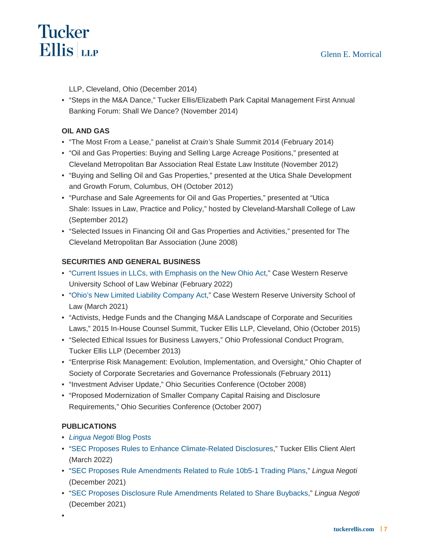LLP, Cleveland, Ohio (December 2014)

"Steps in the M&A Dance," Tucker Ellis/Elizabeth Park Capital Management First Annual • Banking Forum: Shall We Dance? (November 2014)

#### OIL AND GAS

- "The Most From a Lease," panelist at Crain's Shale Summit 2014 (February 2014)
- "Oil and Gas Properties: Buying and Selling Large Acreage Positions," presented at Cleveland Metropolitan Bar Association Real Estate Law Institute (November 2012)
- "Buying and Selling Oil and Gas Properties," presented at the Utica Shale Development and Growth Forum, Columbus, OH (October 2012)
- "Purchase and Sale Agreements for Oil and Gas Properties," presented at "Utica Shale: Issues in Law, Practice and Policy," hosted by Cleveland-Marshall College of Law (September 2012)
- "Selected Issues in Financing Oil and Gas Properties and Activities," presented for The Cleveland Metropolitan Bar Association (June 2008)

### SECURITIES AND GENERAL BUSINESS

- "[Current Issues in LLCs, with Emphasis on the New Ohio Act](https://case.edu/law/our-school/events-lectures/current-issues-llcs-emphasis-new-ohio-act)," Case Western Reserve University School of Law Webinar (February 2022)
- "[Ohio's New Limited Liability Company Act](https://case.edu/law/our-school/events-lectures/ohios-new-limited-liability-company-act)," Case Western Reserve University School of Law (March 2021)
- "Activists, Hedge Funds and the Changing M&A Landscape of Corporate and Securities Laws," 2015 In-House Counsel Summit, Tucker Ellis LLP, Cleveland, Ohio (October 2015)
- "Selected Ethical Issues for Business Lawyers," Ohio Professional Conduct Program, Tucker Ellis LLP (December 2013)
- "Enterprise Risk Management: Evolution, Implementation, and Oversight," Ohio Chapter of Society of Corporate Secretaries and Governance Professionals (February 2011)
- "Investment Adviser Update," Ohio Securities Conference (October 2008)
- "Proposed Modernization of Smaller Company Capital Raising and Disclosure Requirements," Ohio Securities Conference (October 2007)

#### PUBLICATIONS

- [Lingua Negoti Blog Posts](https://www.tuckerellis.com/lingua-negoti-blog?bio=5770)
- "[SEC Proposes Rules to Enhance Climate-Related Disclosures,](https://www.tuckerellis.com/alerts/12638/)" Tucker Ellis Client Alert (March 2022)
- "[SEC Proposes Rule Amendments Related to Rule 10b5-1 Trading Plans](https://www.tuckerellis.com/lingua-negoti-blog/sec-proposes-rule-amendments-related-to-rule-10b5-1-trading-plans/)," Lingua Negoti (December 2021)
- "[SEC Proposes Disclosure Rule Amendments Related to Share Buybacks,](https://www.tuckerellis.com/lingua-negoti-blog/sec-proposes-disclosure-rule-amendments-related-to-share-buybacks/)" Lingua Negoti (December 2021)

•